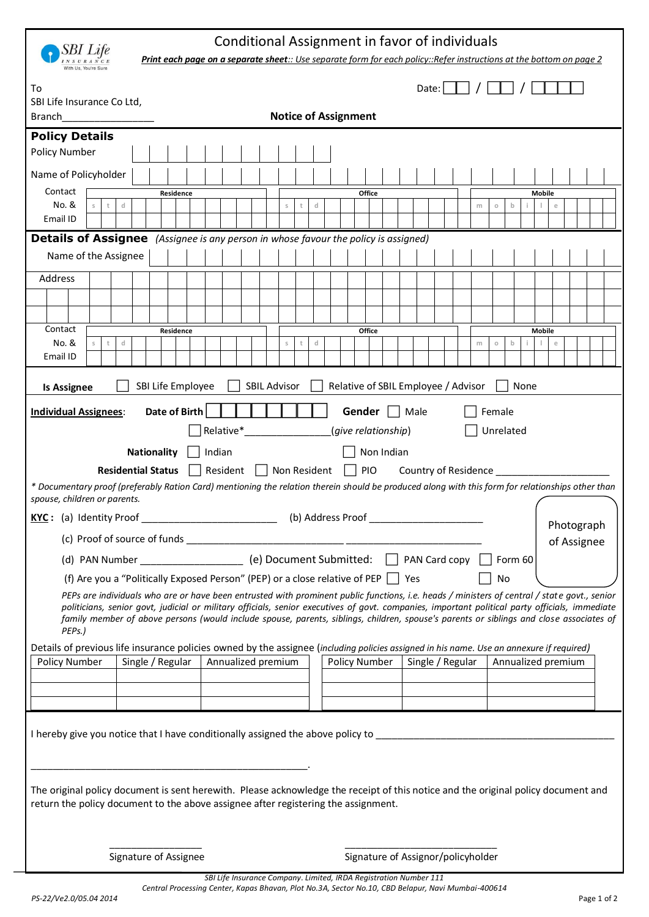|                                                                                                                                                                                                                                                                                                                                                                                                                                                                                                                                                                                                 |                                                                                                    | Print each page on a separate sheet:: Use separate form for each policy::Refer instructions at the bottom on page 2 |                    | Conditional Assignment in favor of individuals |                     |             |   |   |                                     |        |                                    |  |               |                  |  |   |           |                    |               |             |  |  |  |
|-------------------------------------------------------------------------------------------------------------------------------------------------------------------------------------------------------------------------------------------------------------------------------------------------------------------------------------------------------------------------------------------------------------------------------------------------------------------------------------------------------------------------------------------------------------------------------------------------|----------------------------------------------------------------------------------------------------|---------------------------------------------------------------------------------------------------------------------|--------------------|------------------------------------------------|---------------------|-------------|---|---|-------------------------------------|--------|------------------------------------|--|---------------|------------------|--|---|-----------|--------------------|---------------|-------------|--|--|--|
| To<br>SBI Life Insurance Co Ltd,<br><b>Branch</b>                                                                                                                                                                                                                                                                                                                                                                                                                                                                                                                                               |                                                                                                    | Date:<br><b>Notice of Assignment</b>                                                                                |                    |                                                |                     |             |   |   |                                     |        |                                    |  |               |                  |  |   |           |                    |               |             |  |  |  |
| <b>Policy Details</b>                                                                                                                                                                                                                                                                                                                                                                                                                                                                                                                                                                           |                                                                                                    |                                                                                                                     |                    |                                                |                     |             |   |   |                                     |        |                                    |  |               |                  |  |   |           |                    |               |             |  |  |  |
| <b>Policy Number</b>                                                                                                                                                                                                                                                                                                                                                                                                                                                                                                                                                                            |                                                                                                    |                                                                                                                     |                    |                                                |                     |             |   |   |                                     |        |                                    |  |               |                  |  |   |           |                    |               |             |  |  |  |
| Name of Policyholder                                                                                                                                                                                                                                                                                                                                                                                                                                                                                                                                                                            |                                                                                                    |                                                                                                                     |                    |                                                |                     |             |   |   |                                     |        |                                    |  |               |                  |  |   |           |                    |               |             |  |  |  |
| Contact                                                                                                                                                                                                                                                                                                                                                                                                                                                                                                                                                                                         |                                                                                                    | Residence                                                                                                           |                    |                                                |                     |             |   |   |                                     | Office |                                    |  | <b>Mobile</b> |                  |  |   |           |                    |               |             |  |  |  |
| No. &                                                                                                                                                                                                                                                                                                                                                                                                                                                                                                                                                                                           | d                                                                                                  |                                                                                                                     |                    |                                                |                     | $\mathbb S$ | t | d |                                     |        |                                    |  |               |                  |  | m | $\circ$   | b                  |               | e           |  |  |  |
| Email ID                                                                                                                                                                                                                                                                                                                                                                                                                                                                                                                                                                                        |                                                                                                    |                                                                                                                     |                    |                                                |                     |             |   |   |                                     |        |                                    |  |               |                  |  |   |           |                    |               |             |  |  |  |
| <b>Details of Assignee</b> (Assignee is any person in whose favour the policy is assigned)                                                                                                                                                                                                                                                                                                                                                                                                                                                                                                      |                                                                                                    |                                                                                                                     |                    |                                                |                     |             |   |   |                                     |        |                                    |  |               |                  |  |   |           |                    |               |             |  |  |  |
| Name of the Assignee                                                                                                                                                                                                                                                                                                                                                                                                                                                                                                                                                                            |                                                                                                    |                                                                                                                     |                    |                                                |                     |             |   |   |                                     |        |                                    |  |               |                  |  |   |           |                    |               |             |  |  |  |
| Address                                                                                                                                                                                                                                                                                                                                                                                                                                                                                                                                                                                         |                                                                                                    |                                                                                                                     |                    |                                                |                     |             |   |   |                                     |        |                                    |  |               |                  |  |   |           |                    |               |             |  |  |  |
|                                                                                                                                                                                                                                                                                                                                                                                                                                                                                                                                                                                                 |                                                                                                    |                                                                                                                     |                    |                                                |                     |             |   |   |                                     |        |                                    |  |               |                  |  |   |           |                    |               |             |  |  |  |
|                                                                                                                                                                                                                                                                                                                                                                                                                                                                                                                                                                                                 |                                                                                                    |                                                                                                                     |                    |                                                |                     |             |   |   |                                     |        |                                    |  |               |                  |  |   |           |                    |               |             |  |  |  |
| Contact<br>No. &                                                                                                                                                                                                                                                                                                                                                                                                                                                                                                                                                                                |                                                                                                    | Residence                                                                                                           |                    |                                                |                     |             |   | d |                                     | Office |                                    |  |               |                  |  |   |           |                    | <b>Mobile</b> |             |  |  |  |
| Email ID                                                                                                                                                                                                                                                                                                                                                                                                                                                                                                                                                                                        | d                                                                                                  |                                                                                                                     |                    |                                                |                     | $\mathbb S$ |   |   |                                     |        |                                    |  |               |                  |  | m | $\circ$   | b                  |               | e           |  |  |  |
|                                                                                                                                                                                                                                                                                                                                                                                                                                                                                                                                                                                                 |                                                                                                    |                                                                                                                     |                    |                                                |                     |             |   |   |                                     |        |                                    |  |               |                  |  |   |           |                    |               |             |  |  |  |
| <b>Is Assignee</b>                                                                                                                                                                                                                                                                                                                                                                                                                                                                                                                                                                              |                                                                                                    | SBI Life Employee                                                                                                   |                    |                                                | <b>SBIL Advisor</b> |             |   |   | Relative of SBIL Employee / Advisor |        |                                    |  |               |                  |  |   |           | None               |               |             |  |  |  |
| <b>Individual Assignees:</b>                                                                                                                                                                                                                                                                                                                                                                                                                                                                                                                                                                    |                                                                                                    | Date of Birth                                                                                                       |                    |                                                |                     |             |   |   |                                     | Gender |                                    |  | Male          |                  |  |   | Female    |                    |               |             |  |  |  |
|                                                                                                                                                                                                                                                                                                                                                                                                                                                                                                                                                                                                 |                                                                                                    |                                                                                                                     | Relative*          |                                                |                     |             |   |   | (give relationship)                 |        |                                    |  |               |                  |  |   | Unrelated |                    |               |             |  |  |  |
|                                                                                                                                                                                                                                                                                                                                                                                                                                                                                                                                                                                                 | <b>Nationality</b>                                                                                 |                                                                                                                     | Indian             |                                                |                     |             |   |   |                                     |        |                                    |  |               |                  |  |   |           |                    |               |             |  |  |  |
|                                                                                                                                                                                                                                                                                                                                                                                                                                                                                                                                                                                                 | Non Indian<br><b>Residential Status</b><br>Resident<br>PIO<br>Non Resident<br>Country of Residence |                                                                                                                     |                    |                                                |                     |             |   |   |                                     |        |                                    |  |               |                  |  |   |           |                    |               |             |  |  |  |
| * Documentary proof (preferably Ration Card) mentioning the relation therein should be produced along with this form for relationships other than<br>spouse, children or parents.                                                                                                                                                                                                                                                                                                                                                                                                               |                                                                                                    |                                                                                                                     |                    |                                                |                     |             |   |   |                                     |        |                                    |  |               |                  |  |   |           |                    |               |             |  |  |  |
| KYC: (a) Identity Proof                                                                                                                                                                                                                                                                                                                                                                                                                                                                                                                                                                         |                                                                                                    |                                                                                                                     |                    |                                                |                     |             |   |   | (b) Address Proof                   |        |                                    |  |               |                  |  |   |           |                    |               |             |  |  |  |
|                                                                                                                                                                                                                                                                                                                                                                                                                                                                                                                                                                                                 |                                                                                                    |                                                                                                                     |                    |                                                |                     |             |   |   |                                     |        |                                    |  |               |                  |  |   |           |                    |               | Photograph  |  |  |  |
| (d) PAN Number $(e)$ Document Submitted: $\Box$ PAN Card copy $\Box$                                                                                                                                                                                                                                                                                                                                                                                                                                                                                                                            |                                                                                                    |                                                                                                                     |                    |                                                |                     |             |   |   |                                     |        |                                    |  |               |                  |  |   |           |                    |               | of Assignee |  |  |  |
|                                                                                                                                                                                                                                                                                                                                                                                                                                                                                                                                                                                                 |                                                                                                    |                                                                                                                     |                    |                                                |                     |             |   |   |                                     |        |                                    |  |               |                  |  |   |           | Form 60            |               |             |  |  |  |
| (f) Are you a "Politically Exposed Person" (PEP) or a close relative of PEP $\Box$ Yes                                                                                                                                                                                                                                                                                                                                                                                                                                                                                                          |                                                                                                    |                                                                                                                     |                    |                                                |                     |             |   |   |                                     |        |                                    |  |               |                  |  |   | No        |                    |               |             |  |  |  |
| PEPs are individuals who are or have been entrusted with prominent public functions, i.e. heads / ministers of central / state govt., senior<br>politicians, senior govt, judicial or military officials, senior executives of govt. companies, important political party officials, immediate<br>family member of above persons (would include spouse, parents, siblings, children, spouse's parents or siblings and close associates of<br>PEPs.)<br>Details of previous life insurance policies owned by the assignee (including policies assigned in his name. Use an annexure if required) |                                                                                                    |                                                                                                                     |                    |                                                |                     |             |   |   |                                     |        |                                    |  |               |                  |  |   |           |                    |               |             |  |  |  |
| <b>Policy Number</b>                                                                                                                                                                                                                                                                                                                                                                                                                                                                                                                                                                            | Single / Regular                                                                                   |                                                                                                                     | Annualized premium |                                                |                     |             |   |   | Policy Number                       |        |                                    |  |               | Single / Regular |  |   |           | Annualized premium |               |             |  |  |  |
|                                                                                                                                                                                                                                                                                                                                                                                                                                                                                                                                                                                                 |                                                                                                    |                                                                                                                     |                    |                                                |                     |             |   |   |                                     |        |                                    |  |               |                  |  |   |           |                    |               |             |  |  |  |
|                                                                                                                                                                                                                                                                                                                                                                                                                                                                                                                                                                                                 |                                                                                                    |                                                                                                                     |                    |                                                |                     |             |   |   |                                     |        |                                    |  |               |                  |  |   |           |                    |               |             |  |  |  |
|                                                                                                                                                                                                                                                                                                                                                                                                                                                                                                                                                                                                 |                                                                                                    |                                                                                                                     |                    |                                                |                     |             |   |   |                                     |        |                                    |  |               |                  |  |   |           |                    |               |             |  |  |  |
| I hereby give you notice that I have conditionally assigned the above policy to ______________________________                                                                                                                                                                                                                                                                                                                                                                                                                                                                                  |                                                                                                    |                                                                                                                     |                    |                                                |                     |             |   |   |                                     |        |                                    |  |               |                  |  |   |           |                    |               |             |  |  |  |
| The original policy document is sent herewith. Please acknowledge the receipt of this notice and the original policy document and<br>return the policy document to the above assignee after registering the assignment.                                                                                                                                                                                                                                                                                                                                                                         |                                                                                                    |                                                                                                                     |                    |                                                |                     |             |   |   |                                     |        |                                    |  |               |                  |  |   |           |                    |               |             |  |  |  |
|                                                                                                                                                                                                                                                                                                                                                                                                                                                                                                                                                                                                 |                                                                                                    |                                                                                                                     |                    |                                                |                     |             |   |   |                                     |        |                                    |  |               |                  |  |   |           |                    |               |             |  |  |  |
| Signature of Assignee                                                                                                                                                                                                                                                                                                                                                                                                                                                                                                                                                                           |                                                                                                    |                                                                                                                     |                    |                                                |                     |             |   |   |                                     |        | Signature of Assignor/policyholder |  |               |                  |  |   |           |                    |               |             |  |  |  |

*SBI Life Insurance Company. Limited, IRDA Registration Number 111 Central Processing Center, Kapas Bhavan, Plot No.3A, Sector No.10, CBD Belapur, Navi Mumbai-400614*